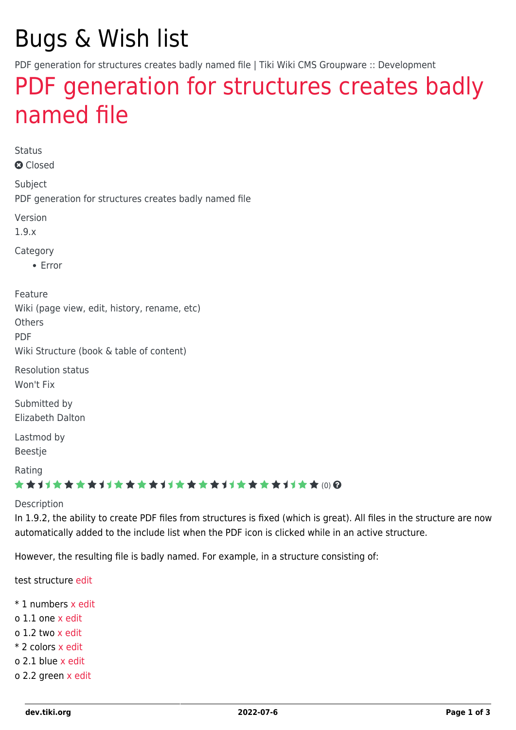# Bugs & Wish list

PDF generation for structures creates badly named file | Tiki Wiki CMS Groupware :: Development

## [PDF generation for structures creates badly](https://dev.tiki.org/item421-PDF-generation-for-structures-creates-badly-named-file) [named file](https://dev.tiki.org/item421-PDF-generation-for-structures-creates-badly-named-file)

Status

**a** Closed

Subject PDF generation for structures creates badly named file

Version

1.9.x

Category

Error

Feature Wiki (page view, edit, history, rename, etc)

**Others** 

PDF

Wiki Structure (book & table of content)

Resolution status Won't Fix

Submitted by Elizabeth Dalton

Lastmod by Beestje

Rating

#### \*\*\*\*\*\*\*\*\*\*\*\*\*\*\*\*\*\*\*\*\*\*\*\*\*\*\*\*\*\*

#### Description

In 1.9.2, the ability to create PDF files from structures is fixed (which is great). All files in the structure are now automatically added to the include list when the PDF icon is clicked while in an active structure.

However, the resulting file is badly named. For example, in a structure consisting of:

test structure [edit](https://dev.tiki.org/view)

- \* 1 numbers [x](https://dev.tiki.org/x) [edit](https://dev.tiki.org/view)
- o 1.1 one [x](https://dev.tiki.org/x) [edit](https://dev.tiki.org/view)
- o 1.2 two [x](https://dev.tiki.org/x) [edit](https://dev.tiki.org/view)
- \* 2 colors [x](https://dev.tiki.org/x) [edit](https://dev.tiki.org/view)
- o 2.1 blue [x](https://dev.tiki.org/x) [edit](https://dev.tiki.org/view)
- o 2.2 green [x](https://dev.tiki.org/x) [edit](https://dev.tiki.org/view)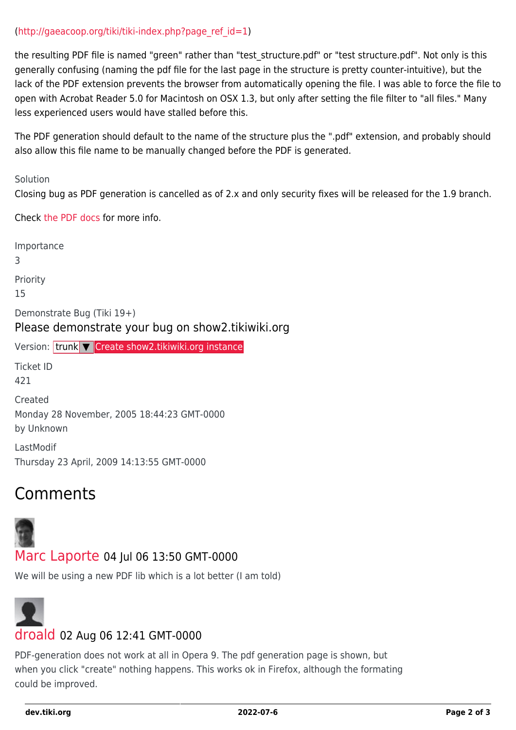#### $(http://gaeacoop.org/tiki/tiki-index.php?page ref id=1)$

the resulting PDF file is named "green" rather than "test\_structure.pdf" or "test structure.pdf". Not only is this generally confusing (naming the pdf file for the last page in the structure is pretty counter-intuitive), but the lack of the PDF extension prevents the browser from automatically opening the file. I was able to force the file to open with Acrobat Reader 5.0 for Macintosh on OSX 1.3, but only after setting the file filter to "all files." Many less experienced users would have stalled before this.

The PDF generation should default to the name of the structure plus the ".pdf" extension, and probably should also allow this file name to be manually changed before the PDF is generated.

Solution

Closing bug as PDF generation is cancelled as of 2.x and only security fixes will be released for the 1.9 branch.

Check [the PDF docs](http://doc.tikiwiki.org/tiki-index.php?page=PDF&highlight=pdf) for more info.

Importance 3 Priority 15 Demonstrate Bug (Tiki 19+) Please demonstrate your bug on show2.tikiwiki.org Version: trunk ▼ [Create show2.tikiwiki.org instance](#page--1-0) Ticket ID 421 Created Monday 28 November, 2005 18:44:23 GMT-0000 by Unknown LastModif Thursday 23 April, 2009 14:13:55 GMT-0000

### Comments



#### [Marc Laporte](https://dev.tiki.org/user11197) 04 Jul 06 13:50 GMT-0000

We will be using a new PDF lib which is a lot better (I am told)



#### [droald](https://dev.tiki.org/user9841) 02 Aug 06 12:41 GMT-0000

PDF-generation does not work at all in Opera 9. The pdf generation page is shown, but when you click "create" nothing happens. This works ok in Firefox, although the formating could be improved.